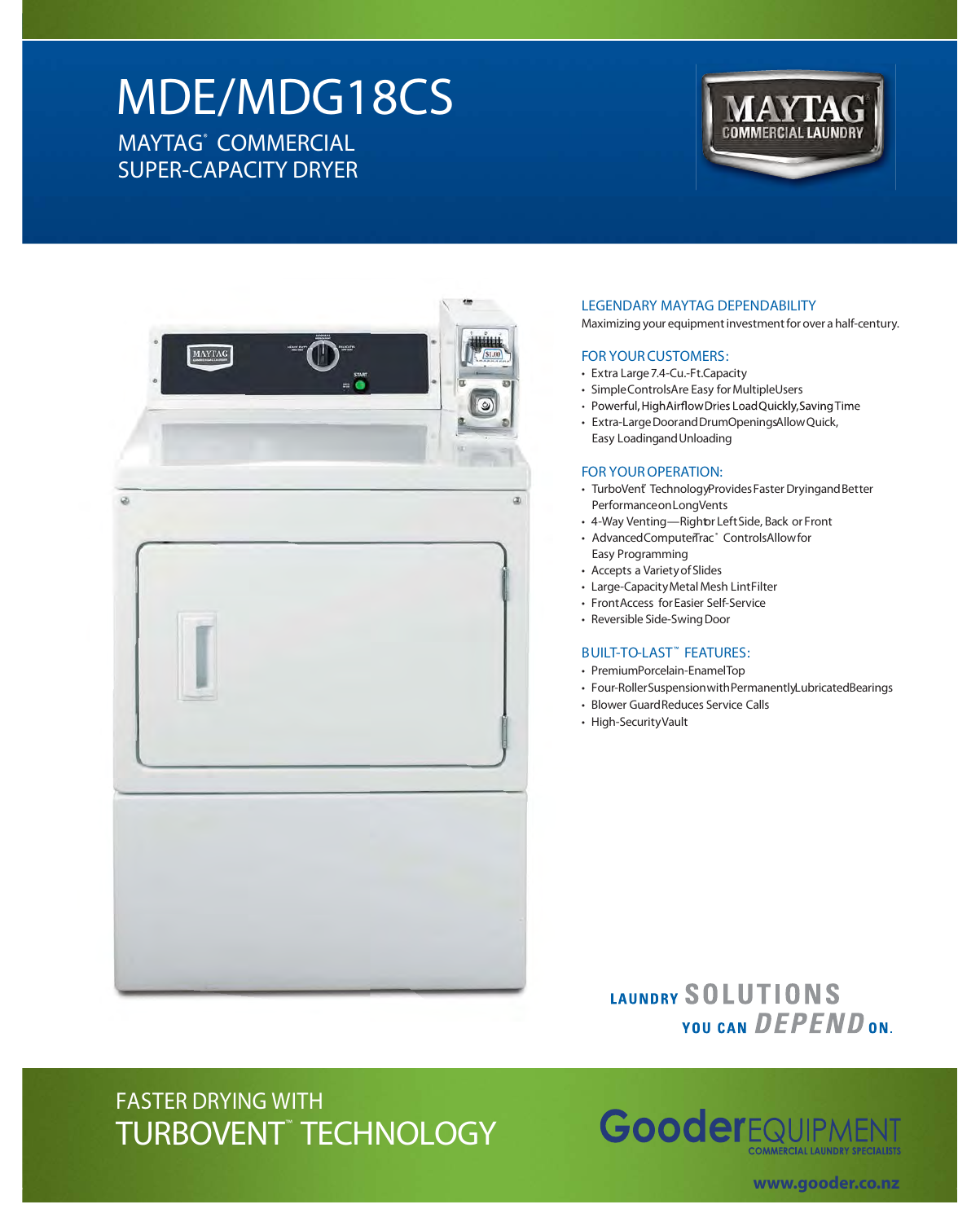# **MDE/MDG18CS MAYTAG® COMMERCIAL SUPER-CAPACITY DRYER**





#### **LEGENDARY MAYTAG DEPENDABILITY**

Maximizing your equipment investment for over a half-century.

#### **FOR YOURCUSTOMERS:**

- Extra Large7.4-Cu.-Ft.Capacity
- Simple ControlsAre Easy for MultipleUsers
- Powerful, HighAirflowDries LoadQuickly, Saving Time
- Extra-Large Doorand DrumOpeningsAllow Quick, Easy LoadingandUnloading

### **FOR YOUROPERATION:**

- TurboVent® TechnologyProvides Faster Dryingand Better PerformanceonLongVents
- 4-Way Venting—Rightor LeftSide, Back or Front
- AdvancedComputerTrac® ControlsAllow for Easy Programming
- Accepts a VarietyofSlides
- Large-CapacityMetal Mesh LintFilter
- FrontAccess forEasier Self-Service
- Reversible Side-Swing Door

#### **BUILT-TO-LAST™ FEATURES:**

- PremiumPorcelain-EnamelTop
- Four-RollerSuspensionwithPermanentlyLubricatedBearings
- Blower GuardReduces Service Calls
- High-SecurityVault

## **IAUNDRY SOLUTIONS** YOU CAN DEPEND ON.

# **FASTER DRYING WITH TURBOVENT**™ **TECHNOLOGY**



**www.gooder.co.nz**